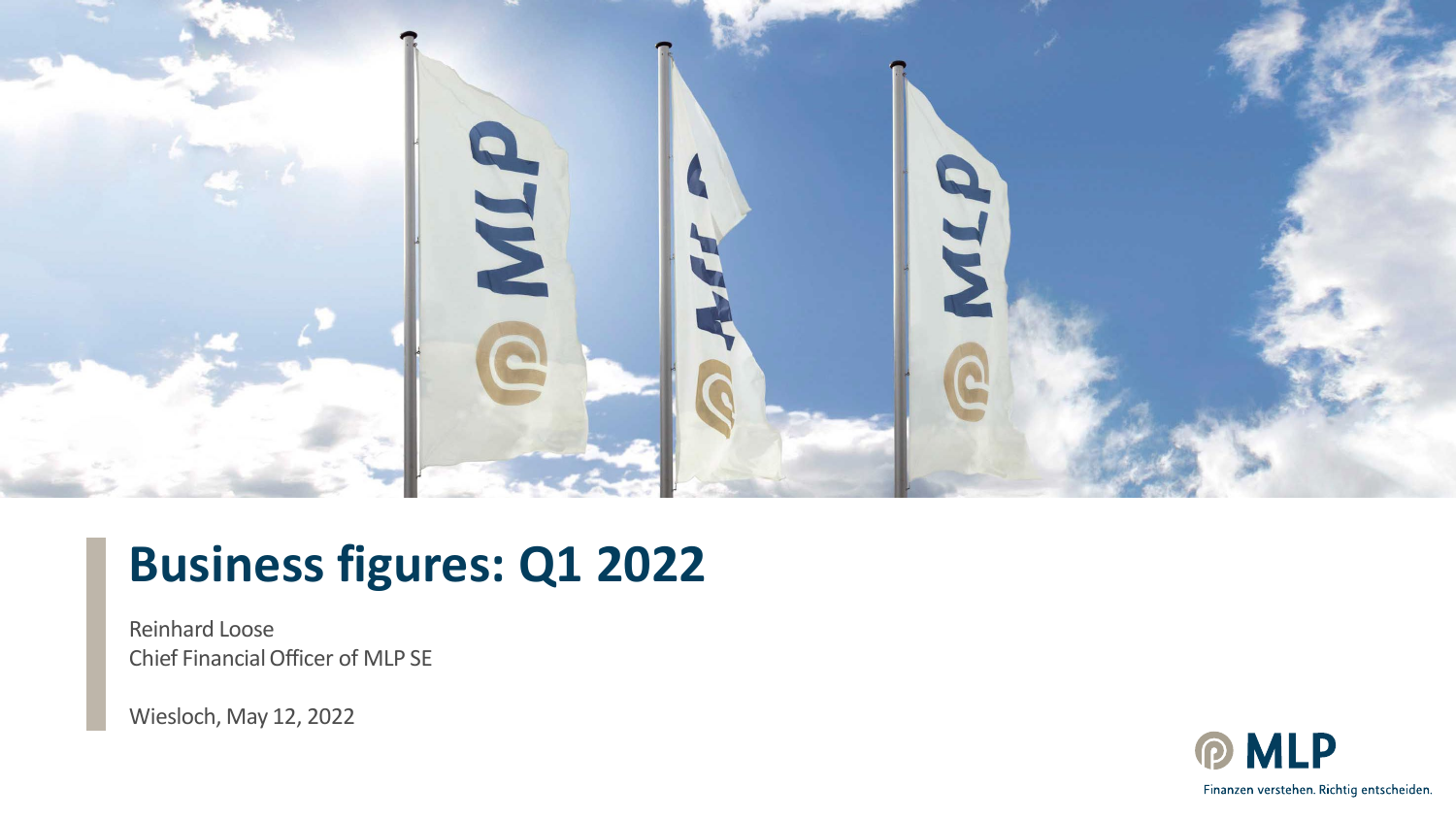

#### **Business figures: Q1 2022**

Reinhard Loose Chief Financial Officer of MLP SE

Wiesloch, May 12, 2022

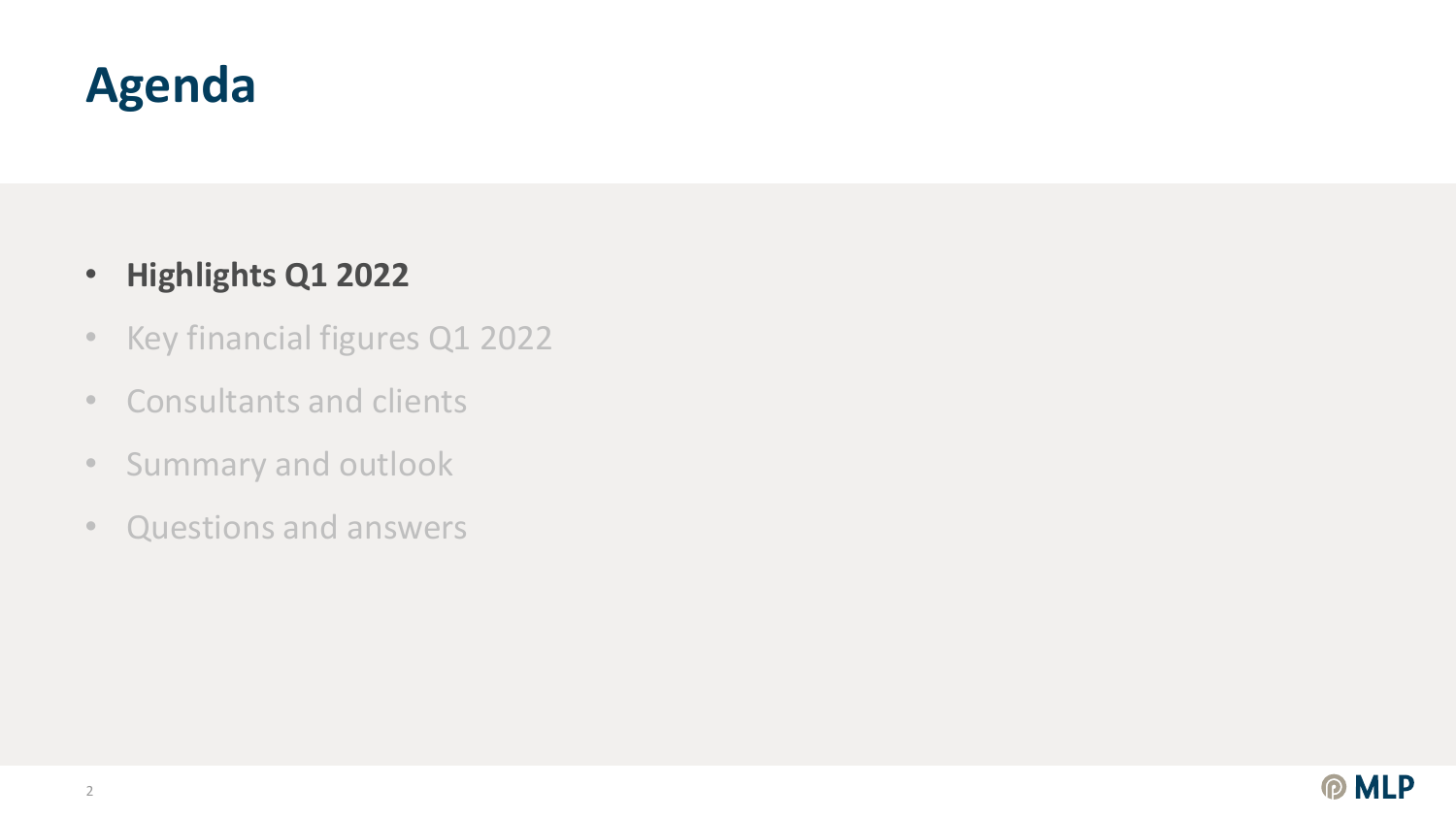#### **Agenda**

#### • **Highlights Q1 2022**

- Key financial figures Q1 2022
- Consultants and clients
- Summary and outlook
- Questions and answers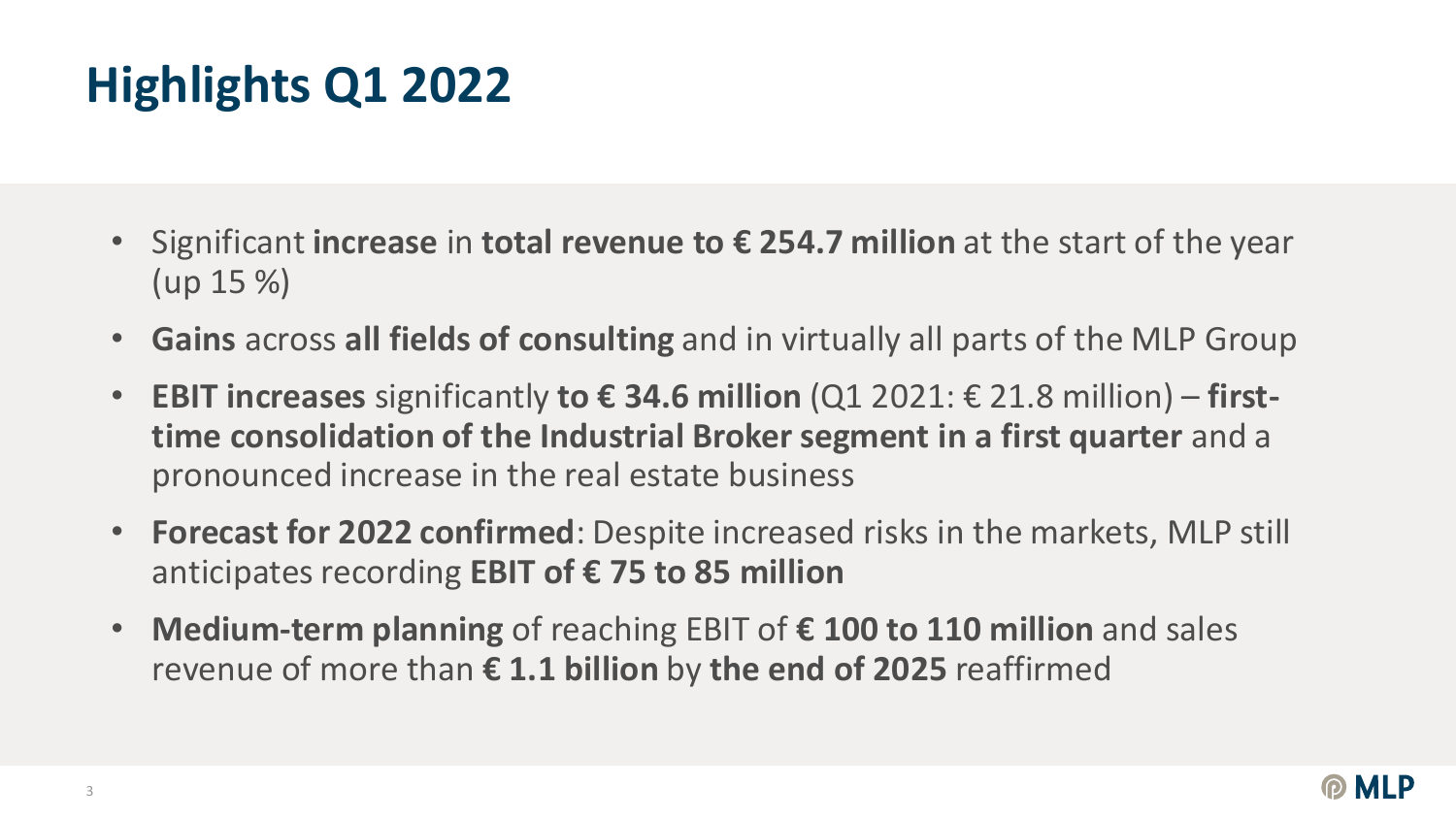# **Highlights Q1 2022**

- Significant **increase** in **total revenue to € 254.7 million** at the start of the year (up 15 %)
- **Gains** across **all fields of consulting** and in virtually all parts of the MLP Group
- **EBIT increases** significantly **to € 34.6 million** (Q1 2021: € 21.8 million) **firsttime consolidation of the Industrial Broker segment in a first quarter** and a pronounced increase in the real estate business
- **Forecast for 2022 confirmed**: Despite increased risks in the markets, MLP still anticipates recording **EBIT of € 75 to 85 million**
- **Medium-term planning** of reaching EBIT of **€ 100 to 110 million** and sales revenue of more than **€ 1.1 billion** by **the end of 2025** reaffirmed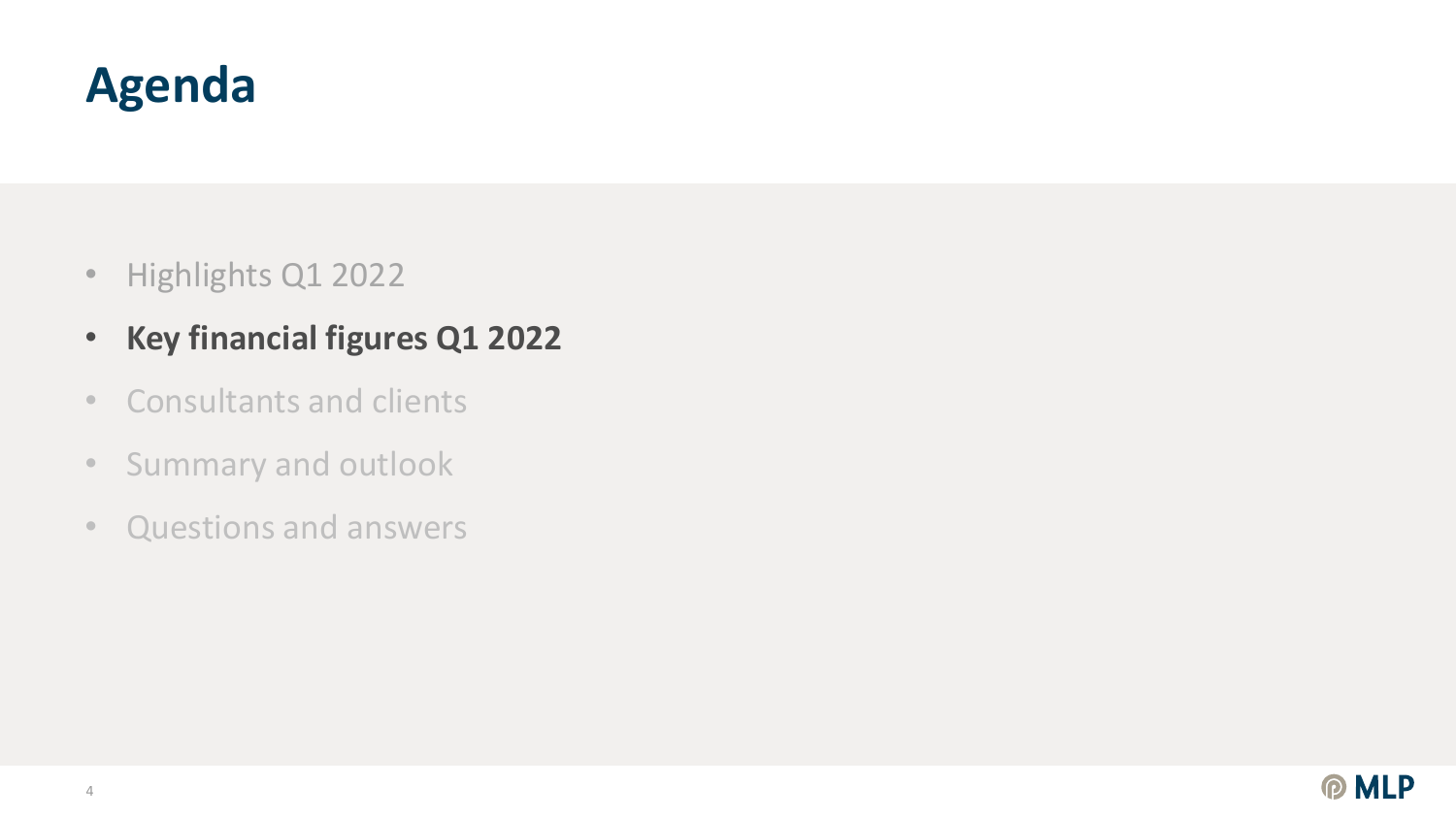

- Highlights Q1 2022
- **Key financial figures Q1 2022**
- Consultants and clients
- Summary and outlook
- Questions and answers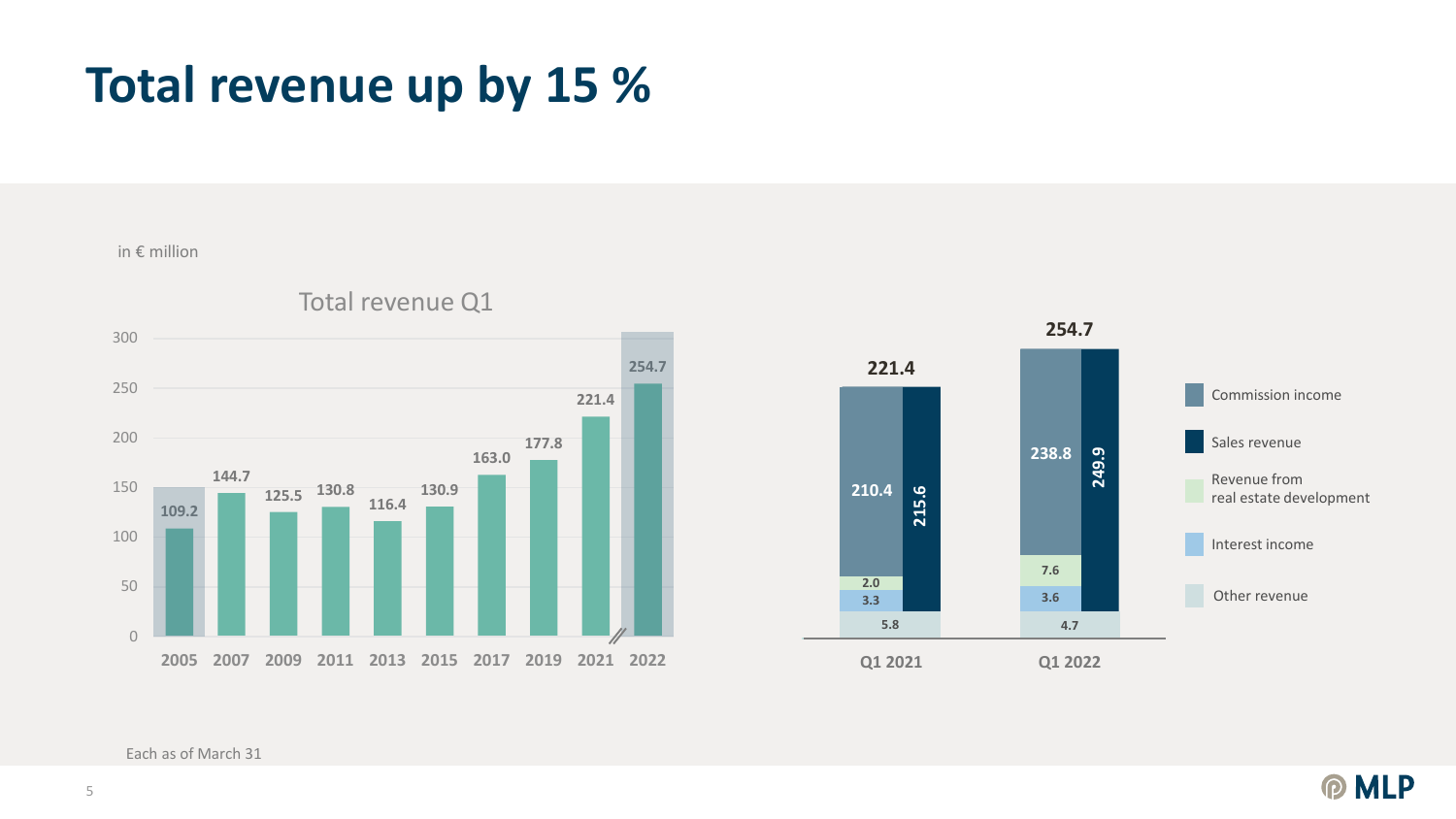#### **Total revenue up by 15 %**

in € million



Total revenue Q1



Each as of March 31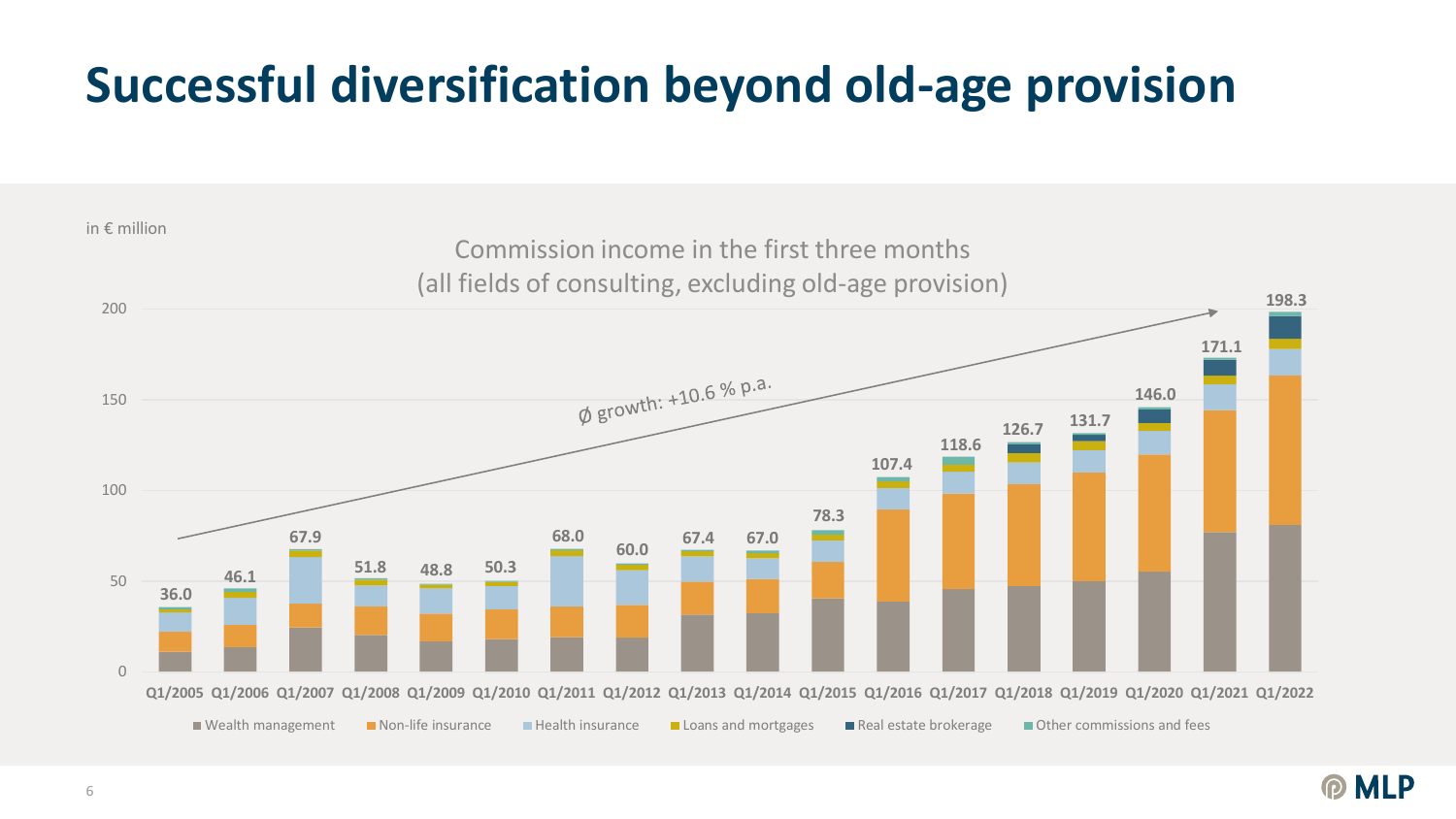# **Successful diversification beyond old-age provision**

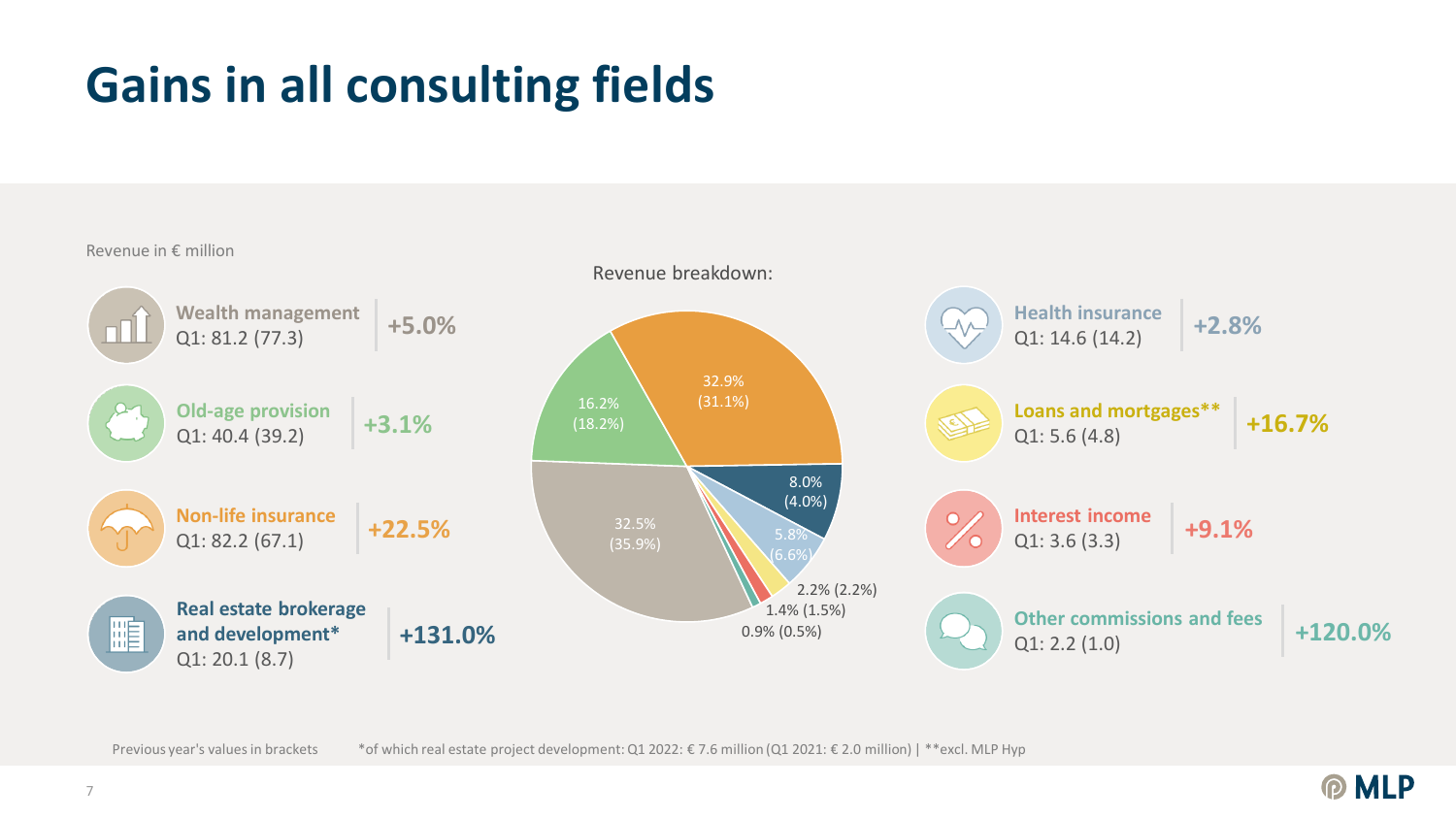# **Gains in all consulting fields**



Previous year's values in brackets \*6f which real estate project development: Q1 2022: € 7.6 million (Q1 2021: € 2.0 million) | \*\*excl. MLP Hyp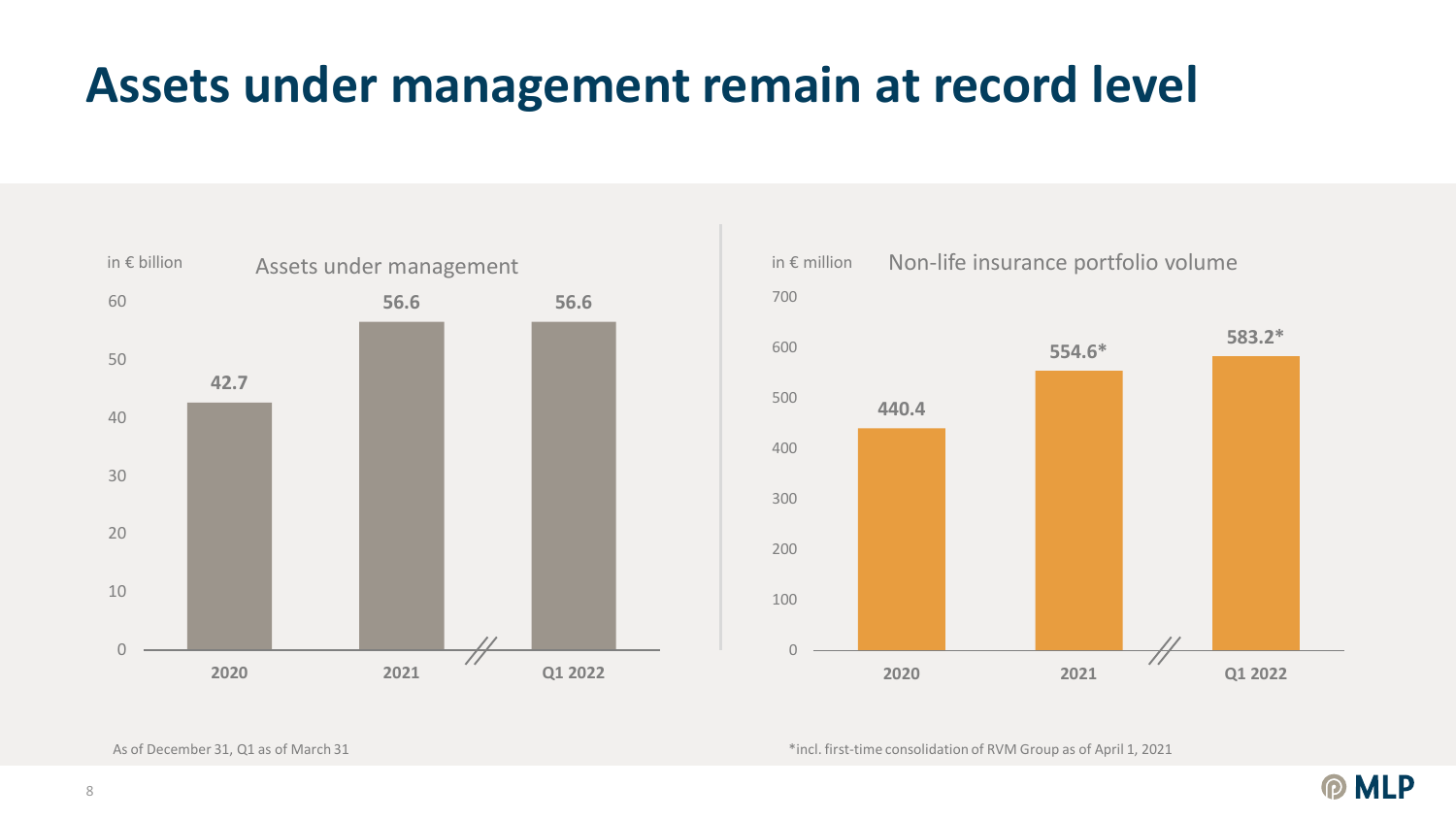#### **Assets under management remain at record level**





\*incl. first-time consolidation of RVM Group as of April 1, 2021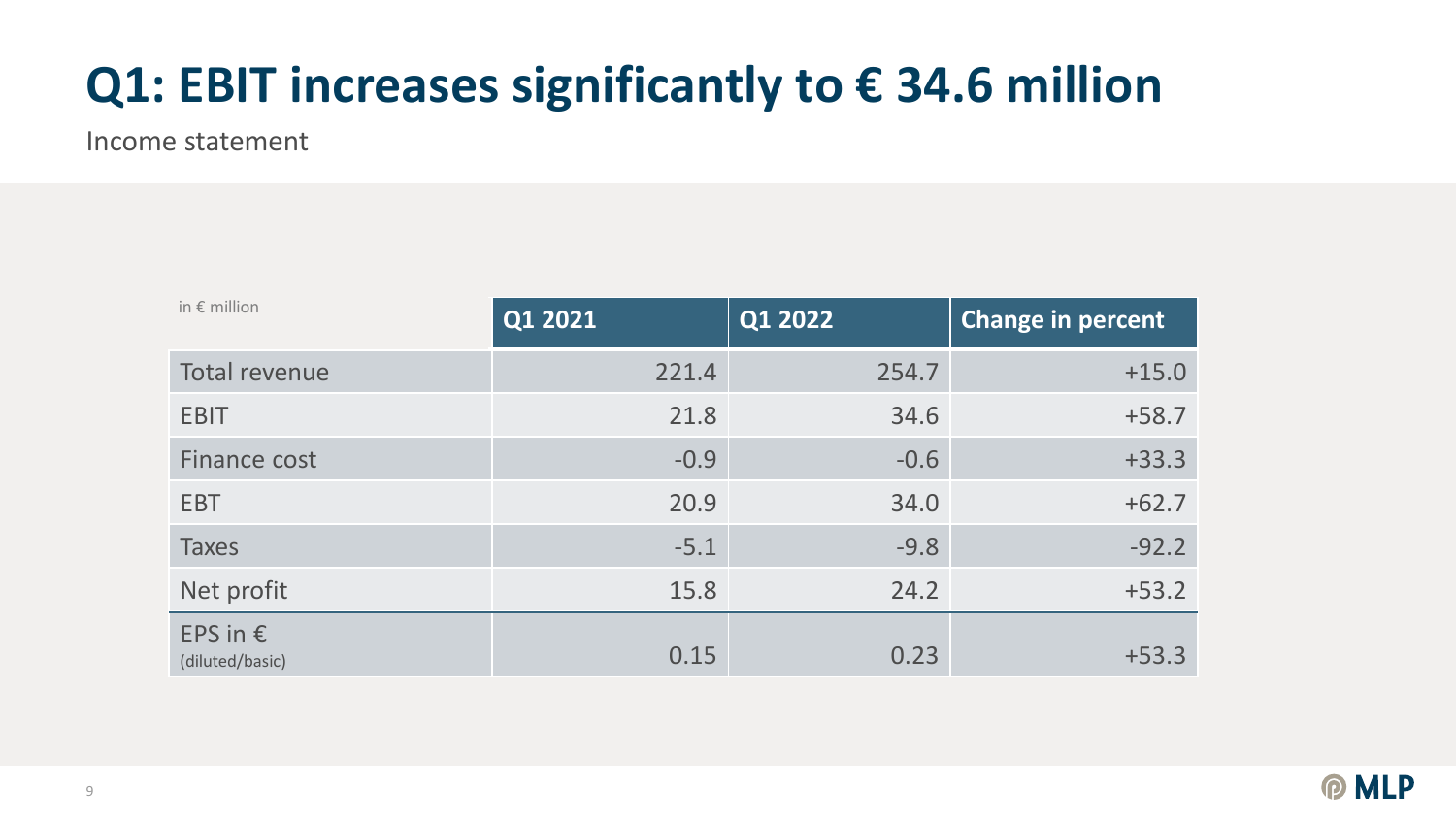# **Q1: EBIT increases significantly to € 34.6 million**

Income statement

| in $\epsilon$ million                | Q1 2021 | Q1 2022 | <b>Change in percent</b> |
|--------------------------------------|---------|---------|--------------------------|
| Total revenue                        | 221.4   | 254.7   | $+15.0$                  |
| <b>EBIT</b>                          | 21.8    | 34.6    | $+58.7$                  |
| Finance cost                         | $-0.9$  | $-0.6$  | $+33.3$                  |
| <b>EBT</b>                           | 20.9    | 34.0    | $+62.7$                  |
| <b>Taxes</b>                         | $-5.1$  | $-9.8$  | $-92.2$                  |
| Net profit                           | 15.8    | 24.2    | $+53.2$                  |
| EPS in $\epsilon$<br>(diluted/basic) | 0.15    | 0.23    | $+53.3$                  |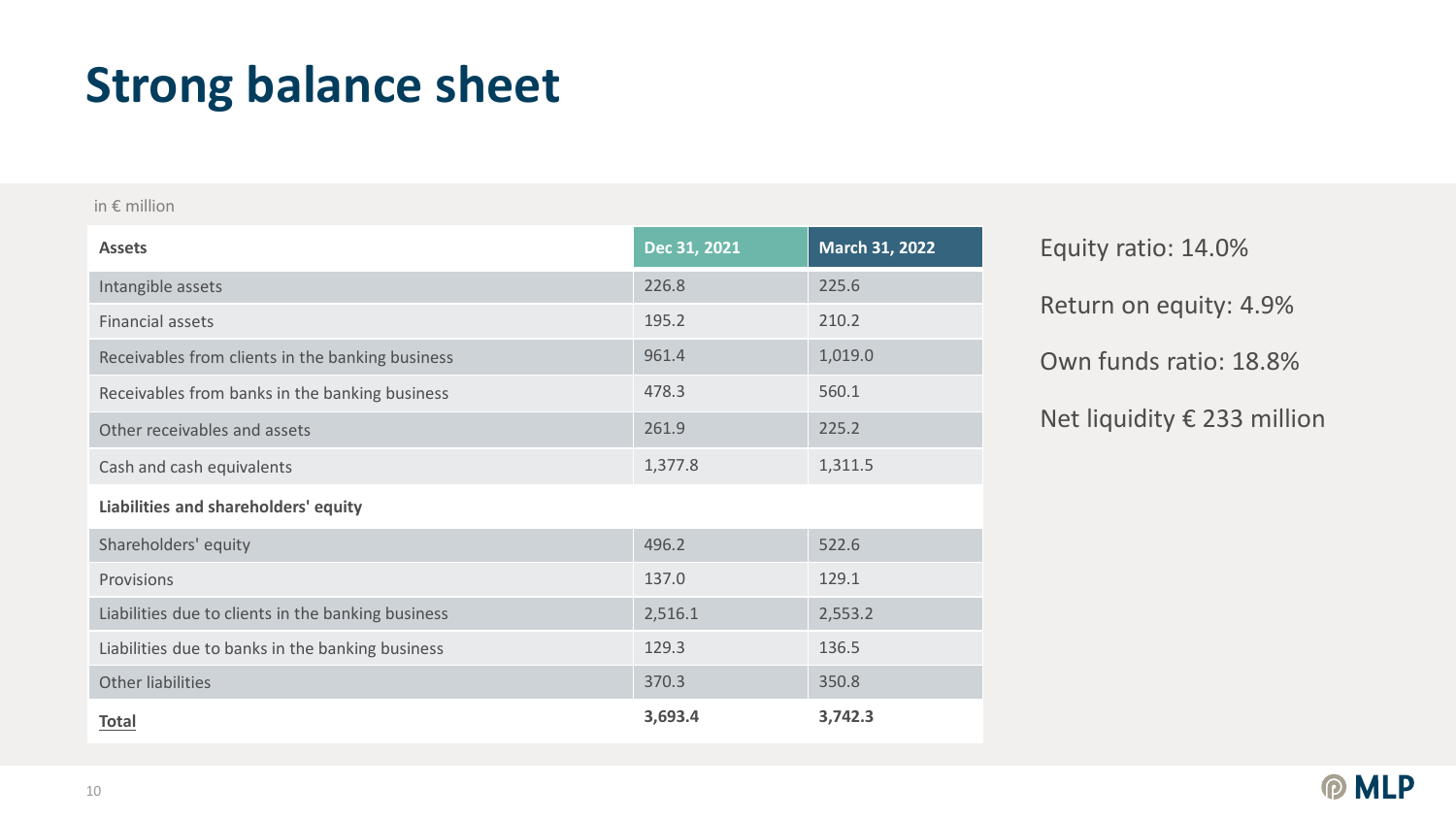#### **Strong balance sheet**

#### in € million

| <b>Assets</b>                                      | Dec 31, 2021 | <b>March 31, 2022</b> |  |
|----------------------------------------------------|--------------|-----------------------|--|
| Intangible assets                                  | 226.8        | 225.6                 |  |
| Financial assets                                   | 195.2        | 210.2                 |  |
| Receivables from clients in the banking business   | 961.4        | 1,019.0               |  |
| Receivables from banks in the banking business     | 478.3        | 560.1                 |  |
| Other receivables and assets                       | 261.9        | 225.2                 |  |
| Cash and cash equivalents                          | 1,377.8      | 1,311.5               |  |
| Liabilities and shareholders' equity               |              |                       |  |
| Shareholders' equity                               | 496.2        | 522.6                 |  |
| Provisions                                         | 137.0        | 129.1                 |  |
| Liabilities due to clients in the banking business | 2,516.1      | 2,553.2               |  |
| Liabilities due to banks in the banking business   | 129.3        | 136.5                 |  |
| Other liabilities                                  | 370.3        | 350.8                 |  |
| <b>Total</b>                                       | 3,693.4      | 3,742.3               |  |

Return on equity: 4.9% Equity ratio: 14.0% Own funds ratio: 18.8% Net liquidity € 233 million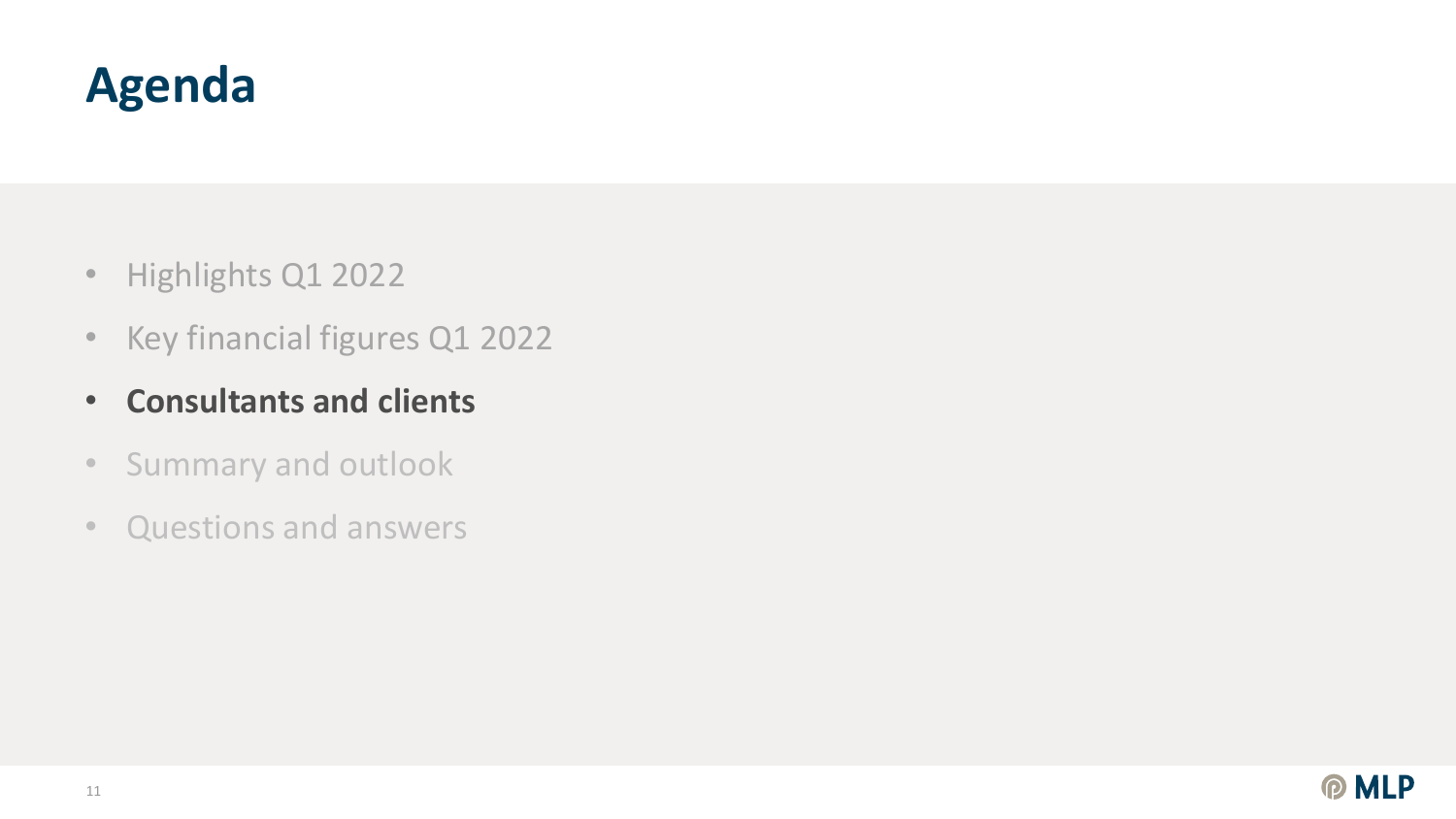

- Highlights Q1 2022
- Key financial figures Q1 2022
- **Consultants and clients**
- Summary and outlook
- Questions and answers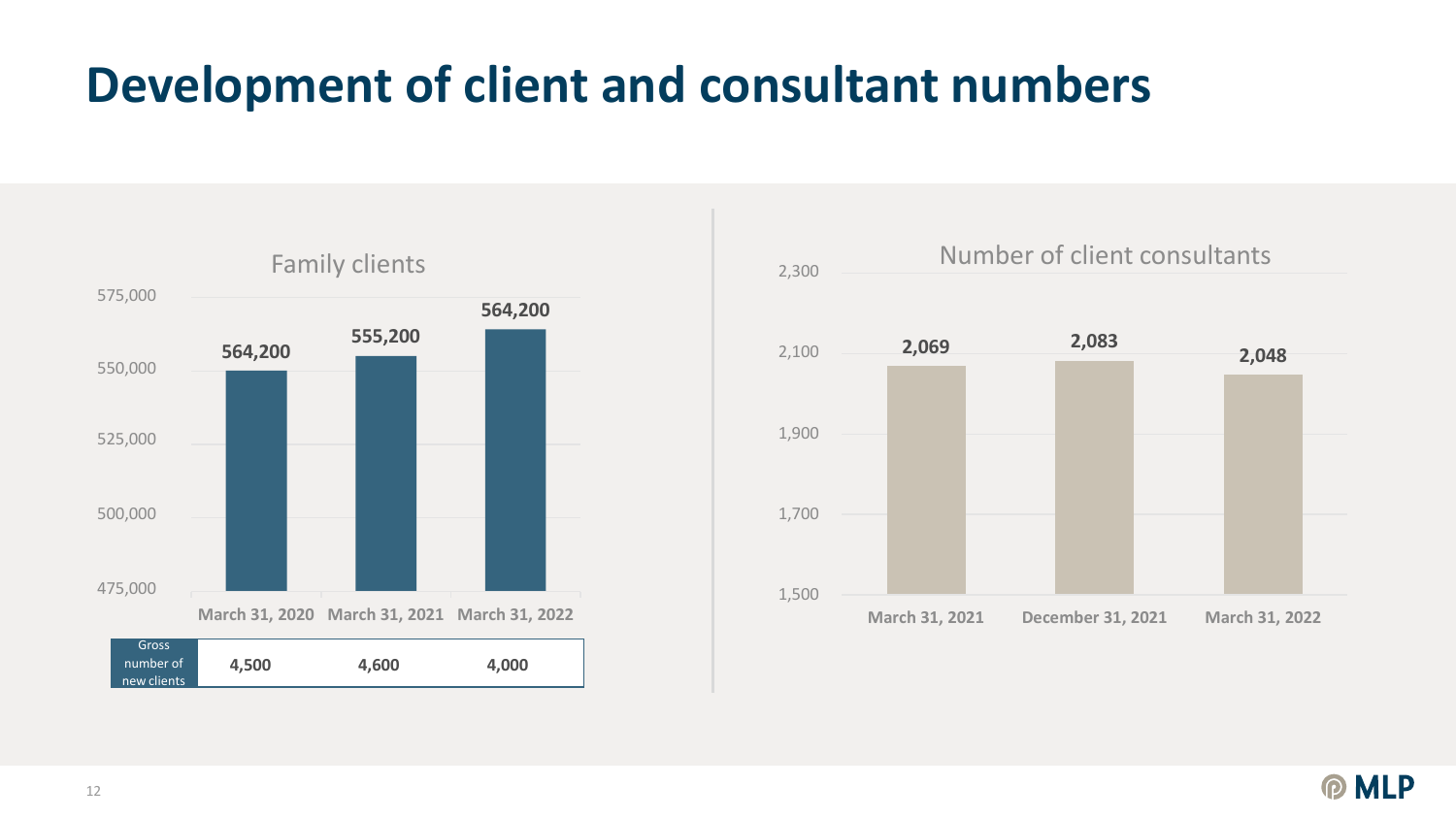## **Development of client and consultant numbers**



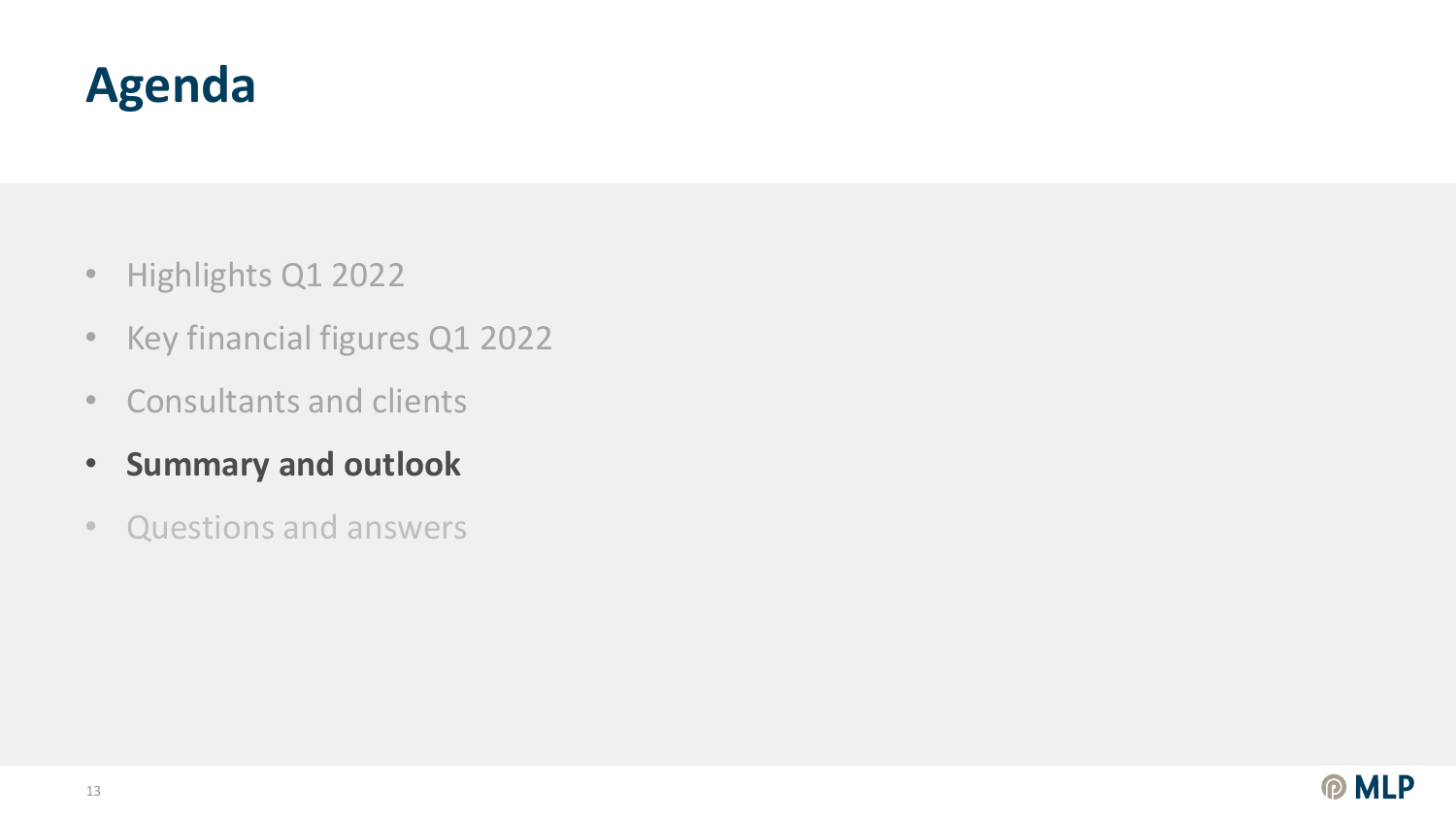

- Highlights Q1 2022
- Key financial figures Q1 2022
- Consultants and clients
- **Summary and outlook**
- Questions and answers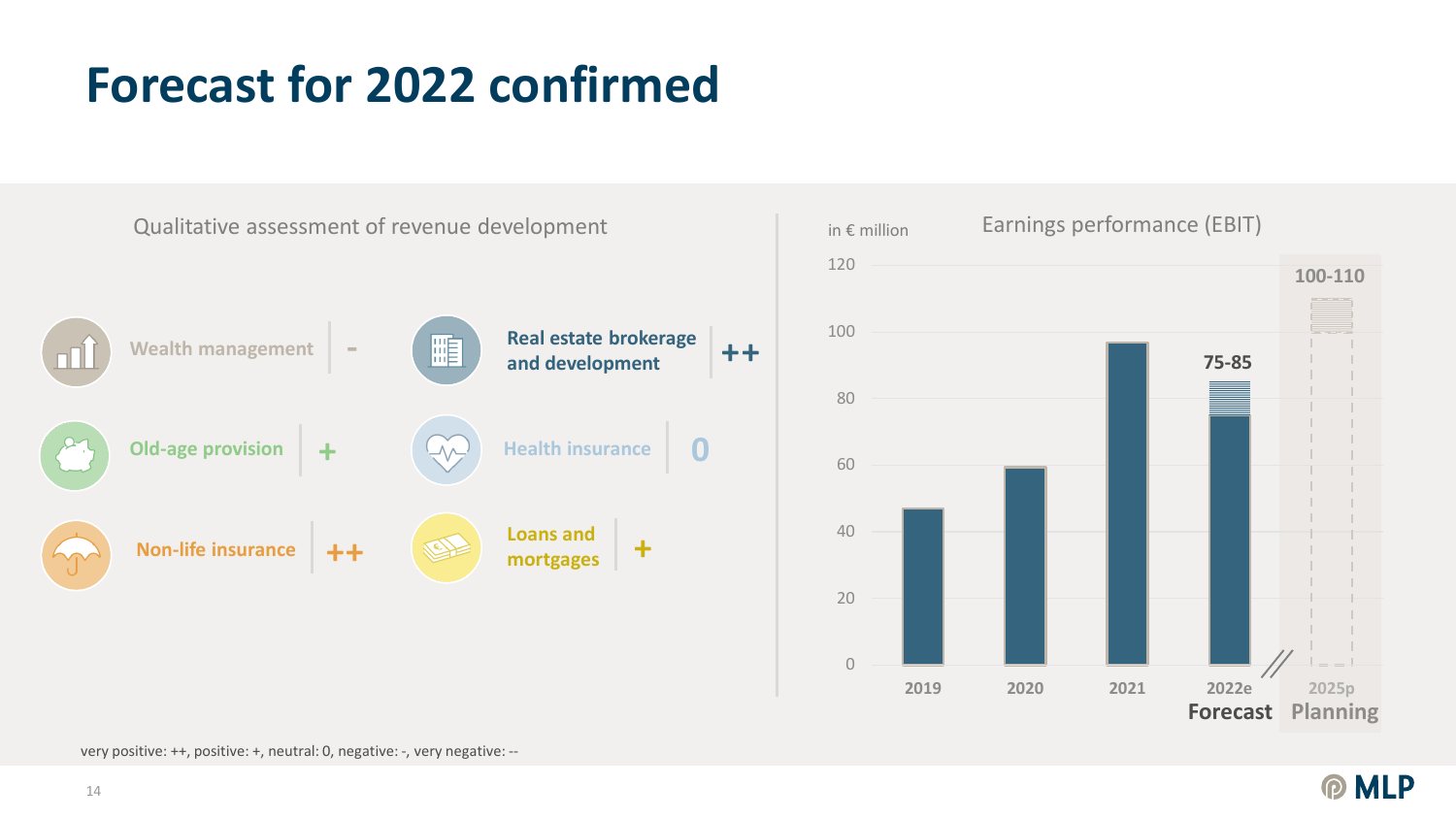# **Forecast for 2022 confirmed**



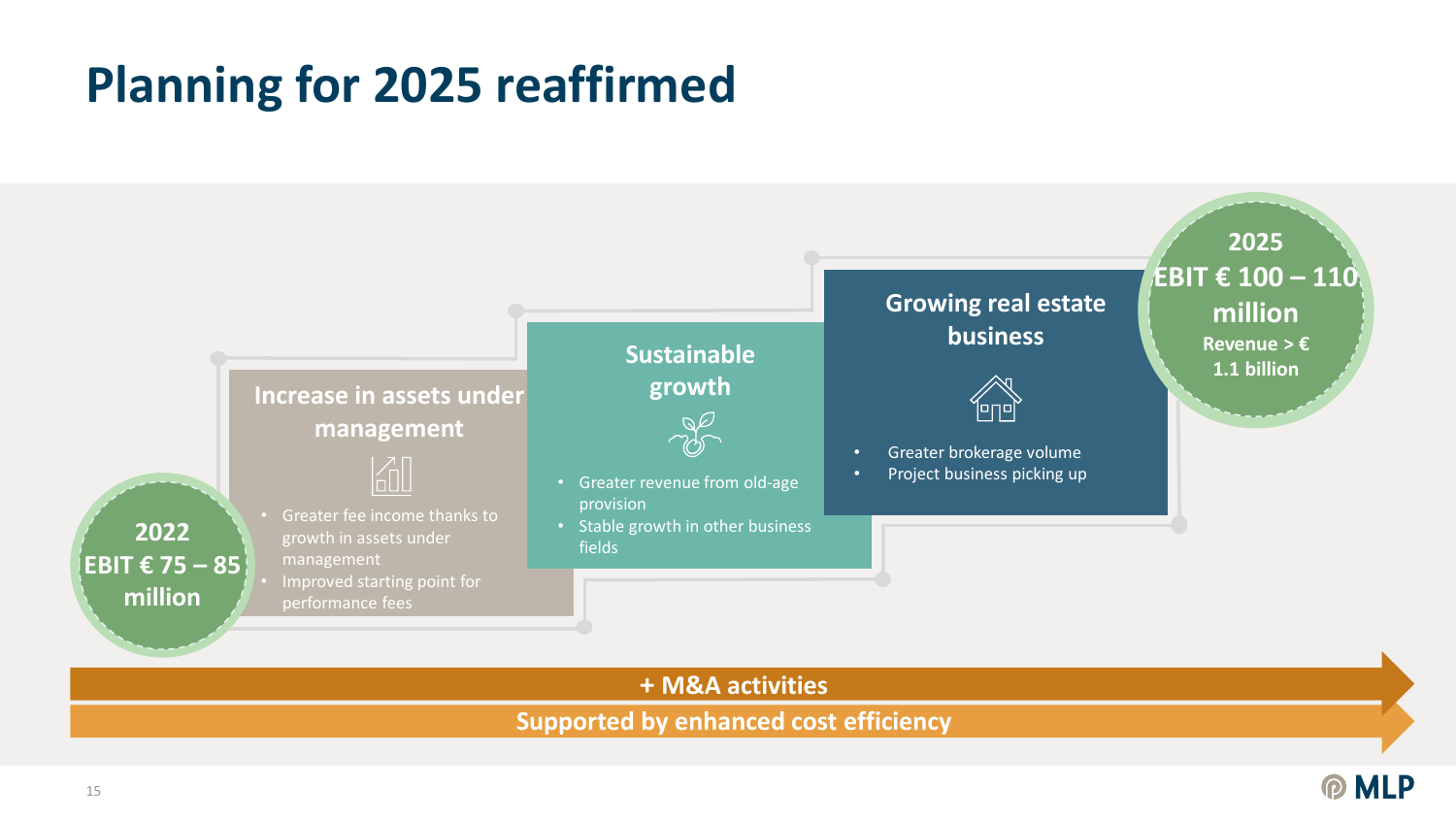# **Planning for 2025 reaffirmed**



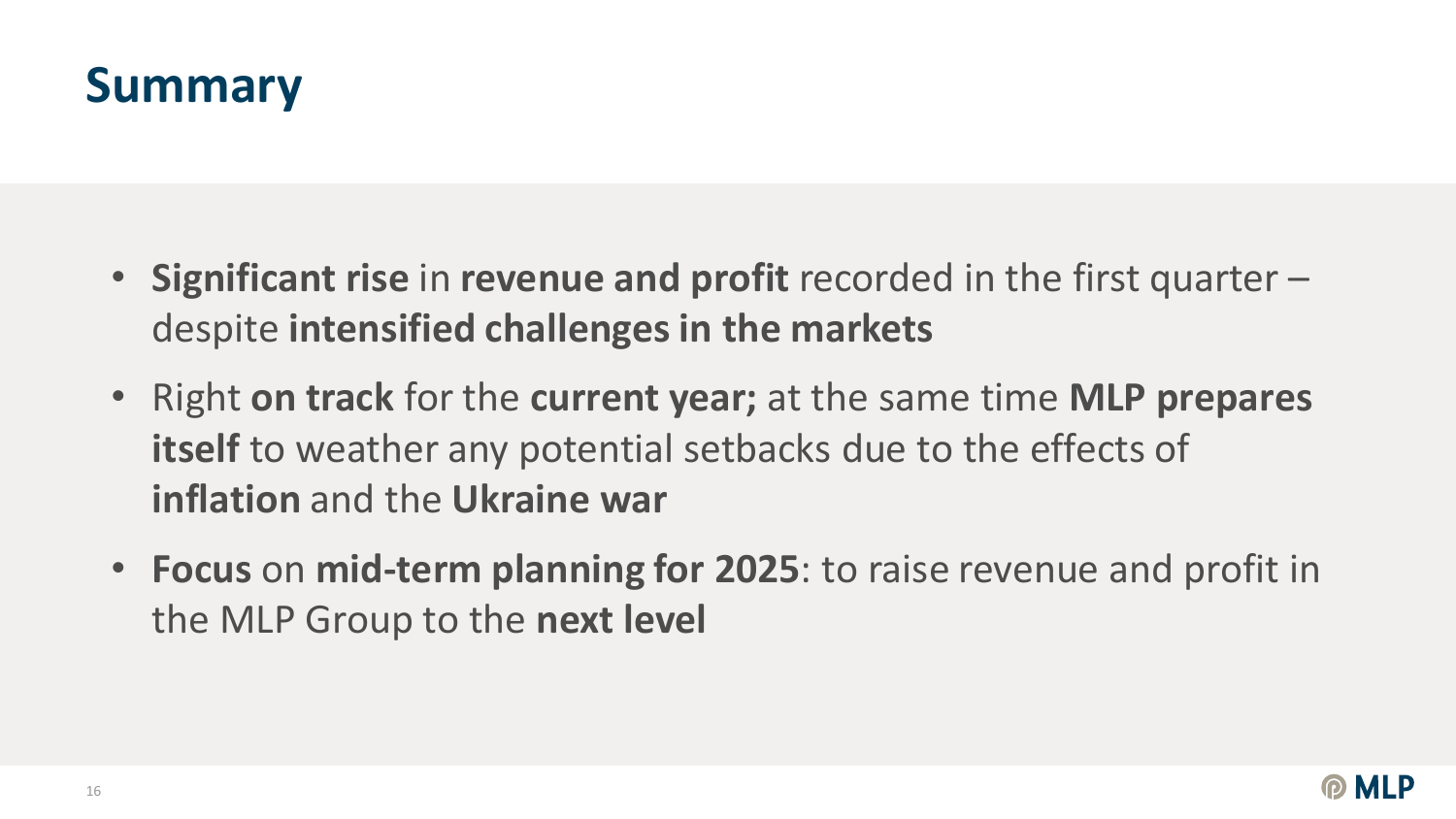#### **Summary**

- **Significant rise** in **revenue and profit** recorded in the first quarter despite **intensified challenges in the markets**
- Right **on track** for the **current year;** at the same time **MLP prepares itself** to weather any potential setbacks due to the effects of **inflation** and the **Ukraine war**
- **Focus** on **mid-term planning for 2025**: to raise revenue and profit in the MLP Group to the **next level**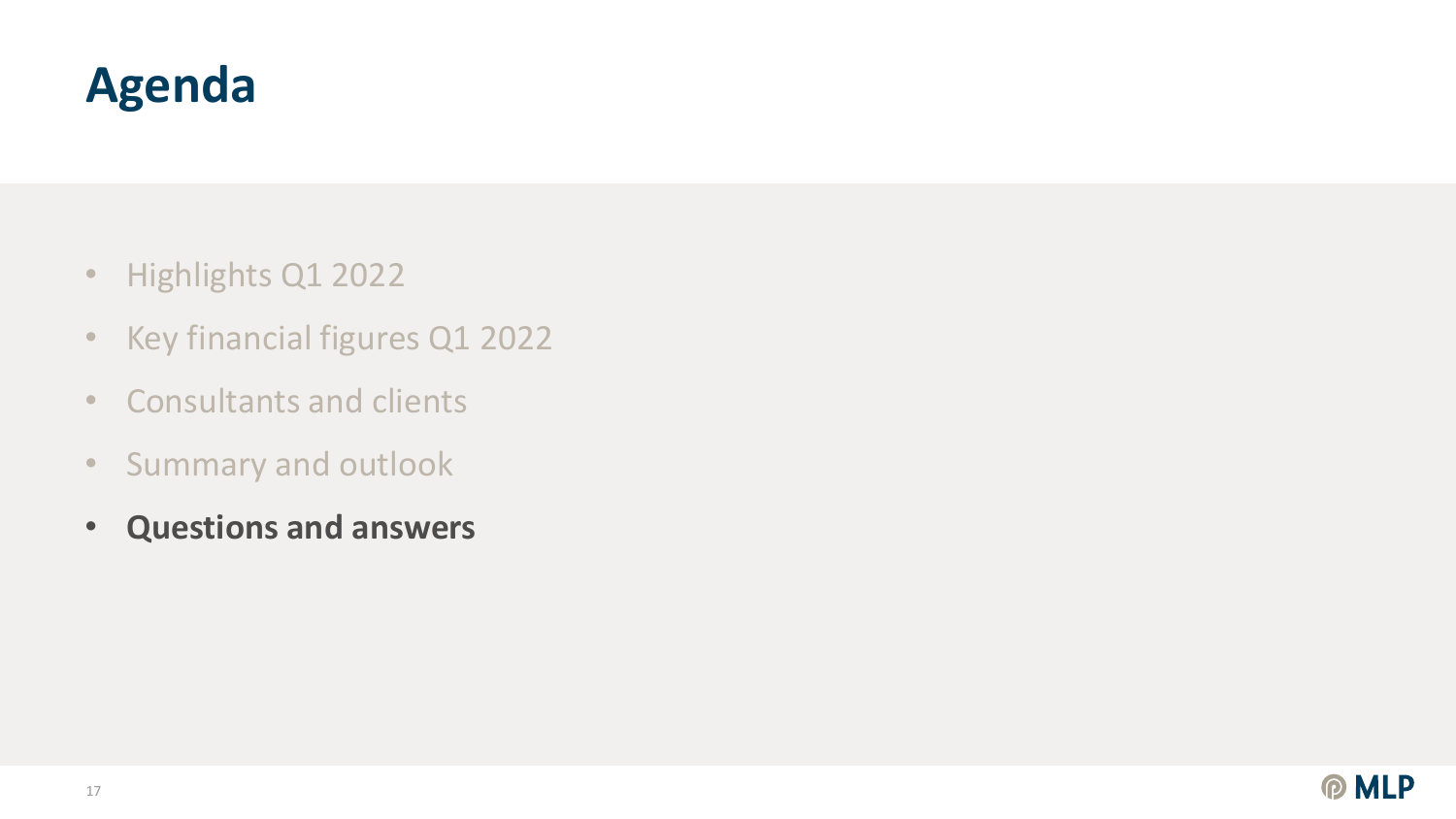#### **Agenda**

- Highlights Q1 2022
- Key financial figures Q1 2022
- Consultants and clients
- Summary and outlook
- **Questions and answers**